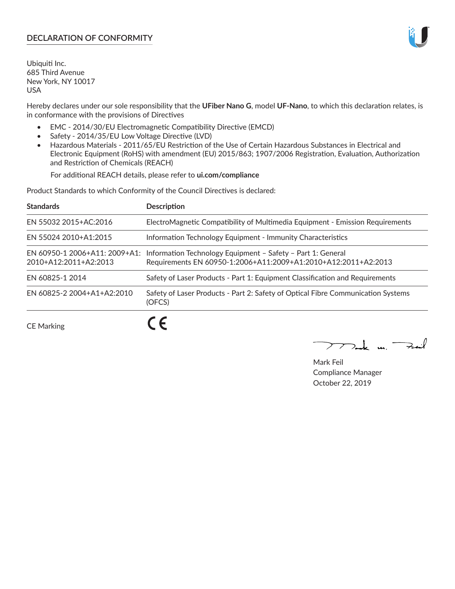# **DECLARATION OF CONFORMITY**

Ubiquiti Inc. 685 Third Avenue New York, NY 10017 USA

Hereby declares under our sole responsibility that the **UFiber Nano G**, model **UF-Nano**, to which this declaration relates, is in conformance with the provisions of Directives

- EMC 2014/30/EU Electromagnetic Compatibility Directive (EMCD)
- Safety 2014/35/EU Low Voltage Directive (LVD)
- Hazardous Materials 2011/65/EU Restriction of the Use of Certain Hazardous Substances in Electrical and Electronic Equipment (RoHS) with amendment (EU) 2015/863; 1907/2006 Registration, Evaluation, Authorization and Restriction of Chemicals (REACH)

For additional REACH details, please refer to **ui.com/compliance**

Product Standards to which Conformity of the Council Directives is declared:

| <b>Standards</b>                                       | <b>Description</b>                                                                                                            |
|--------------------------------------------------------|-------------------------------------------------------------------------------------------------------------------------------|
| EN 55032 2015+AC:2016                                  | ElectroMagnetic Compatibility of Multimedia Equipment - Emission Requirements                                                 |
| EN 55024 2010+A1:2015                                  | Information Technology Equipment - Immunity Characteristics                                                                   |
| EN 60950-1 2006+A11: 2009+A1:<br>2010+A12:2011+A2:2013 | Information Technology Equipment - Safety - Part 1: General<br>Requirements EN 60950-1:2006+A11:2009+A1:2010+A12:2011+A2:2013 |
| EN 60825-1 2014                                        | Safety of Laser Products - Part 1: Equipment Classification and Requirements                                                  |
| EN 60825-2 2004+A1+A2:2010                             | Safety of Laser Products - Part 2: Safety of Optical Fibre Communication Systems<br>(OFCS)                                    |
|                                                        | $\epsilon$                                                                                                                    |

CE Marking

**CE** 

 $\rightarrow$  and  $\rightarrow$ 

Mark Feil Compliance Manager October 22, 2019

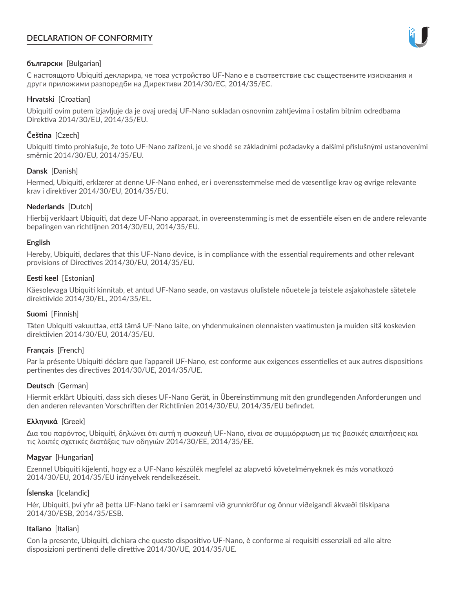# **DECLARATION OF CONFORMITY**



### **български** [Bulgarian]

С настоящото Ubiquiti декларира, че това устройство UF-Nano е в съответствие със съществените изисквания и други приложими разпоредби на Директиви 2014/30/ЕС, 2014/35/ЕС.

### **Hrvatski** [Croatian]

Ubiquiti ovim putem izjavljuje da je ovaj uređaj UF-Nano sukladan osnovnim zahtjevima i ostalim bitnim odredbama Direktiva 2014/30/EU, 2014/35/EU.

# **Čeština** [Czech]

Ubiquiti tímto prohlašuje, že toto UF-Nano zařízení, je ve shodě se základními požadavky a dalšími příslušnými ustanoveními směrnic 2014/30/EU, 2014/35/EU.

## **Dansk** [Danish]

Hermed, Ubiquiti, erklærer at denne UF-Nano enhed, er i overensstemmelse med de væsentlige krav og øvrige relevante krav i direktiver 2014/30/EU, 2014/35/EU.

## **Nederlands** [Dutch]

Hierbij verklaart Ubiquiti, dat deze UF-Nano apparaat, in overeenstemming is met de essentiële eisen en de andere relevante bepalingen van richtlijnen 2014/30/EU, 2014/35/EU.

### **English**

Hereby, Ubiquiti, declares that this UF-Nano device, is in compliance with the essential requirements and other relevant provisions of Directives 2014/30/EU, 2014/35/EU.

## **Eesti keel** [Estonian]

Käesolevaga Ubiquiti kinnitab, et antud UF-Nano seade, on vastavus olulistele nõuetele ja teistele asjakohastele sätetele direktiivide 2014/30/EL, 2014/35/EL.

### **Suomi** [Finnish]

Täten Ubiquiti vakuuttaa, että tämä UF-Nano laite, on yhdenmukainen olennaisten vaatimusten ja muiden sitä koskevien direktiivien 2014/30/EU, 2014/35/EU.

### **Français** [French]

Par la présente Ubiquiti déclare que l'appareil UF-Nano, est conforme aux exigences essentielles et aux autres dispositions pertinentes des directives 2014/30/UE, 2014/35/UE.

### **Deutsch** [German]

Hiermit erklärt Ubiquiti, dass sich dieses UF-Nano Gerät, in Übereinstimmung mit den grundlegenden Anforderungen und den anderen relevanten Vorschriften der Richtlinien 2014/30/EU, 2014/35/EU befindet.

### **Ελληνικά** [Greek]

Δια του παρόντος, Ubiquiti, δηλώνει ότι αυτή η συσκευή UF-Nano, είναι σε συμμόρφωση με τις βασικές απαιτήσεις και τις λοιπές σχετικές διατάξεις των οδηγιών 2014/30/EE, 2014/35/EE.

### **Magyar** [Hungarian]

Ezennel Ubiquiti kijelenti, hogy ez a UF-Nano készülék megfelel az alapvető követelményeknek és más vonatkozó 2014/30/EU, 2014/35/EU irányelvek rendelkezéseit.

### **Íslenska** [Icelandic]

Hér, Ubiquiti, því yfir að þetta UF-Nano tæki er í samræmi við grunnkröfur og önnur viðeigandi ákvæði tilskipana 2014/30/ESB, 2014/35/ESB.

### **Italiano** [Italian]

Con la presente, Ubiquiti, dichiara che questo dispositivo UF-Nano, è conforme ai requisiti essenziali ed alle altre disposizioni pertinenti delle direttive 2014/30/UE, 2014/35/UE.